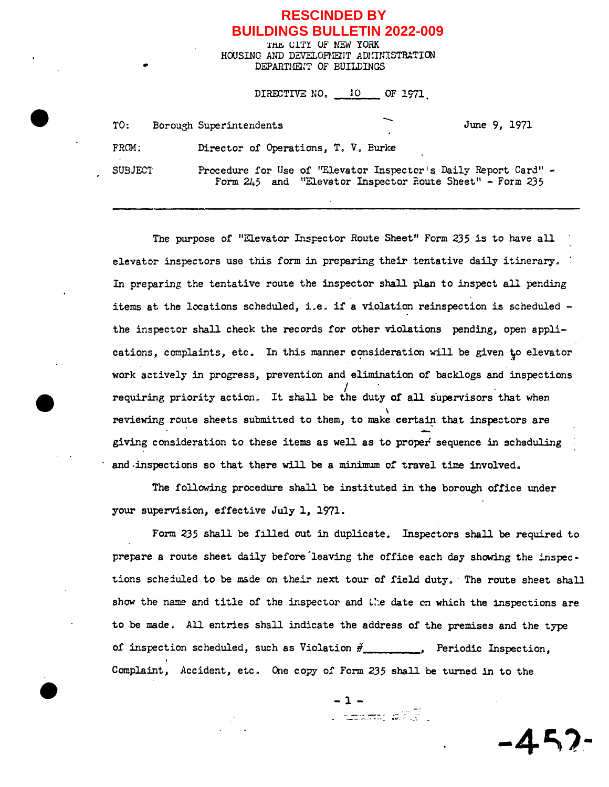## **RESCINDED BY BUILDINGS BULLETIN 2022-009**

THE CITY OF NEW YORK HOUSING AND DEVELOPMENT ADMINISTRATION DEPARTHEl:T OF BUILDINGS

| DIRECTIVE NO. 10 OF 1971 |                                                                                                                               |  |              |
|--------------------------|-------------------------------------------------------------------------------------------------------------------------------|--|--------------|
| TO:                      | Borough Superintendents                                                                                                       |  | June 9, 1971 |
| FROM:                    | Director of Operations, T. V. Burke                                                                                           |  |              |
| <b>SUBJECT</b>           | Procedure for Use of "Elevator Inspector's Daily Report Card" -<br>Form $245$ and "Elevator Inspector Route Sheet" - Form 235 |  |              |

The purpose of "Elevator Inspector Route Sheet" Form 235 is to have all elevator inspectors use this form in preparing their tentative daily itinerary. In preparing the tentative route the inspector shall plan to inspect all pending items at the locations scheduled, i.e. if a violation reinspection is scheduled the inspector shall check the records for other violations pending, open applications, complaints, etc. In this manner consideration will be given to elevator work actively in progress, prevention and elimination of backlogs and inspections requiring priority action. It shall be the duty of all supervisors that when reviewing route sheets submitted to them, to make certain that inspectors are giving consideration to these items as well as to proper sequence in scheduling and-inspections so that there will be a minimum of travel time involved.

The following procedure shall be instituted in the borough office under your supervision, effective July 1, 1971.

Form 235 shall be filled out in duplicate. Inspectors shall be required to prepare a route sheet daily before'leaving the office each day showing the inspections scheduled to be made on their next tour of field duty. The route sheet shall show the name and title of the inspector and the date on which the inspections are to be made. All entries shall indicate the address of the premises and the type of inspection scheduled, such as Violation  $\#$  . Periodic Inspection, Complaint, Accident, etc. One copy of Form 235 shall be turned in to the

-l-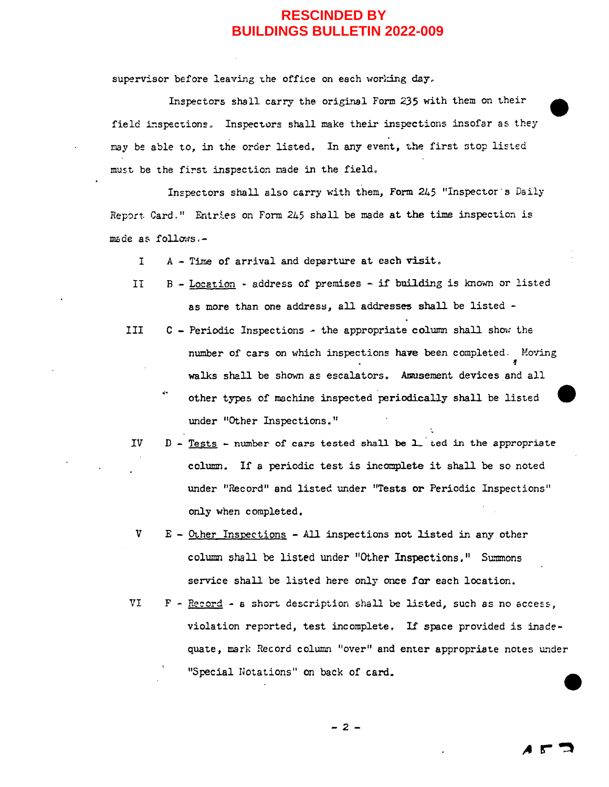## **RESCINDED BY BUILDINGS BULLETIN 2022-009**

supervisor before leaving the office on each working day.

Inspectors shall carry the original Form 235 with them on their field inspections. Inspectors shall make their inspections insofar as they may be able to, in the order listed. In any event, the first stop listed must be the first inspection made in the field.

Inspectors shall also carry with them, Form 245 "Inspector's Daily Report. Card," Entries on Form 245 shall be made at the time inspection is  $m$ ade as follows. $-$ 

I A - Time of arrival and departure at each visit.

- II  $B -$  Location address of premises  $-$  if building is known or listed as more than one address, all addresses shall be listed -
- III C Periodic Inspections the appropriate column shall show the number of cars on which inspections **have** been completed, Hoving **11**  walks shall be shown as escalators. Amusement devices and all other types of machine inspected periodically shall be listed under "Other Inspections."
- $IV$  $D$  - Tests - number of cars tested shall be  $L$  ted in the appropriate column. If a periodic test is incomplete it shall be so noted under "Record" and listed under "Tests or Periodic Inspections" only when completed.
- V E Other Inspections All inspections not listed in any other column shall be listed under "Other Inspections." Summons service shall be listed here only once for each location.
- VI  $F -$  Record a short description shall be listed, such as no access, violation reported, test incomplete. *Ii* space provided is inadequate, mark Record column "over" and enter appropriate notes under "Special Notations" on back of card.

$$
-2 -
$$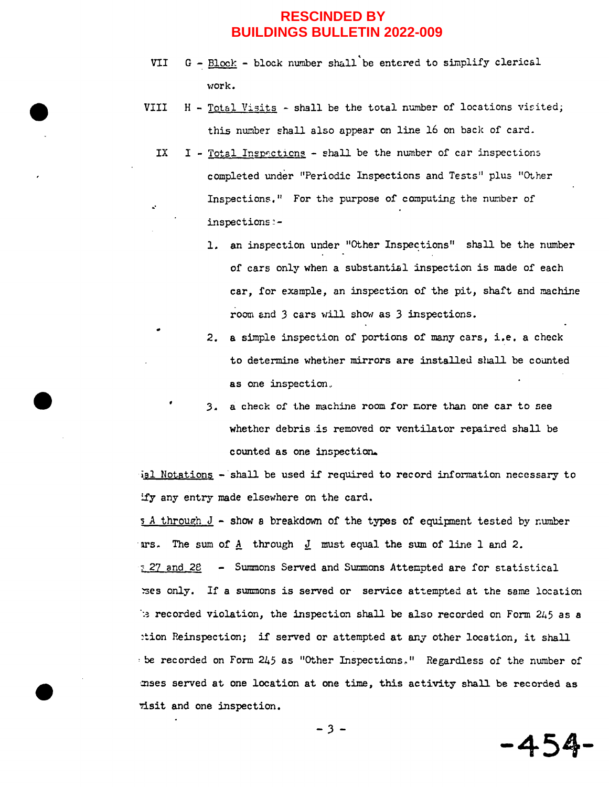## **BUILDINGS BULLETIN 2022-009**

- VII  $G Block block number shall be entered to simplify clerical$ work.
- VIII  $H Total Visig shall be the total number of locations visited;$ this number shall also appear on line 16 on back of card.
	- IX  $I Total Inspections shall be the number of car inspections$ completed under "Periodic Inspections and Tests" plus "Other Inspections." For the purpose of computing the number of inspections :-

•.

- 1. an inspection under "Other Inspections" shall be the number of cars only when a substantial inspection is made of each car, for example, an inspection of the pit, shaft and machine room and 3 cars will show as 3 inspections.
- *2.* **a** simple inspection of portions of many cars, i.e. a check to determine whether mirrors are installed shall be counted as one inspection,.
- 3. a check of the machine room for more than one car to see whether debris .is removed or ventilator repaired shall be counted as one inspection.

ial Notations - shall be used if required to record information necessary to ify any entry made elsewhere on the card.

 $s_A$  through  $J$  - show a breakdown of the types of equipment tested by number ars. The sum of A through *I* must equal the sum of line 1 and 2. **27 and 28 - Summons Served and Summons Attempted are for statistical** '!"3es only. If a summons is served or service at-tempted at the same location  $\therefore$  recorded violation, the inspection shall be also recorded on Form 2 $45$  as a :tion Reinspection; if served or attempted at any other location, it shall be recorded on Form 245 as "Other Inspections." Regardless of the number of mses served at one location at one time, this activity shall be recorded as risit and one inspection. *-3-* **-454- RESCINDED BY**